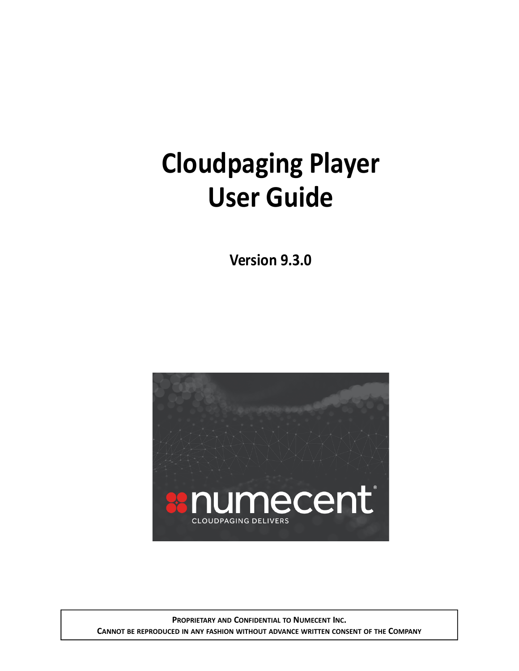# **Cloudpaging Player User Guide**

**Version 9.3.0**



**PROPRIETARY AND CONFIDENTIAL TO NUMECENT INC. CANNOT BE REPRODUCED IN ANY FASHION WITHOUT ADVANCE WRITTEN CONSENT OF THE COMPANY**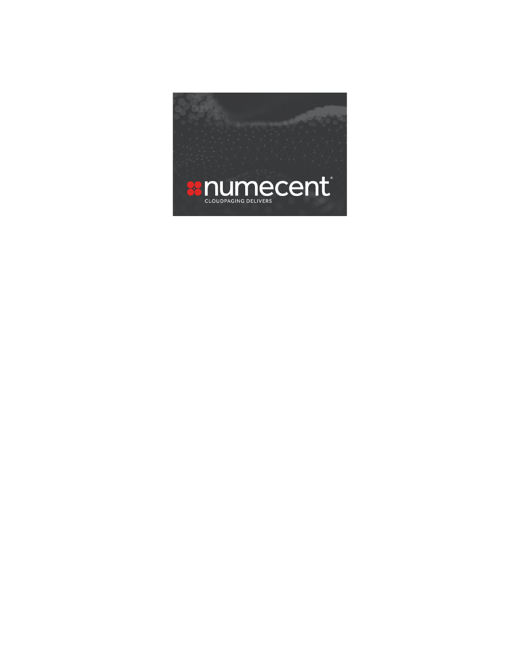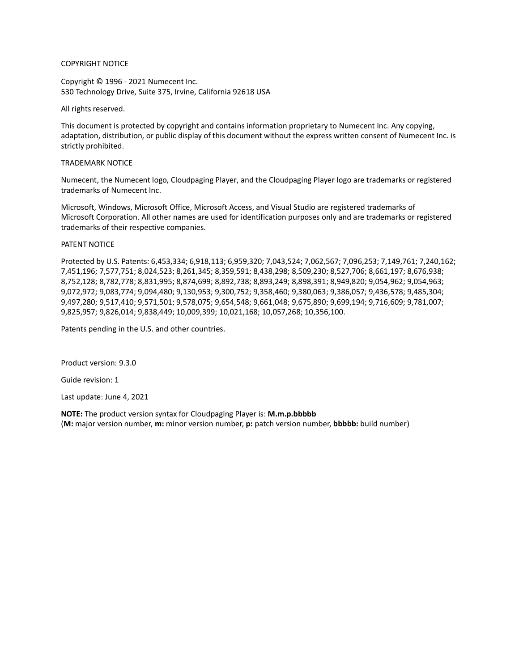#### COPYRIGHT NOTICE

Copyright © 1996 - 2021 Numecent Inc. 530 Technology Drive, Suite 375, Irvine, California 92618 USA

All rights reserved.

This document is protected by copyright and contains information proprietary to Numecent Inc. Any copying, adaptation, distribution, or public display of this document without the express written consent of Numecent Inc. is strictly prohibited.

#### TRADEMARK NOTICE

Numecent, the Numecent logo, Cloudpaging Player, and the Cloudpaging Player logo are trademarks or registered trademarks of Numecent Inc.

Microsoft, Windows, Microsoft Office, Microsoft Access, and Visual Studio are registered trademarks of Microsoft Corporation. All other names are used for identification purposes only and are trademarks or registered trademarks of their respective companies.

#### PATENT NOTICE

Protected by U.S. Patents: 6,453,334; 6,918,113; 6,959,320; 7,043,524; 7,062,567; 7,096,253; 7,149,761; 7,240,162; 7,451,196; 7,577,751; 8,024,523; 8,261,345; 8,359,591; 8,438,298; 8,509,230; 8,527,706; 8,661,197; 8,676,938; 8,752,128; 8,782,778; 8,831,995; 8,874,699; 8,892,738; 8,893,249; 8,898,391; 8,949,820; 9,054,962; 9,054,963; 9,072,972; 9,083,774; 9,094,480; 9,130,953; 9,300,752; 9,358,460; 9,380,063; 9,386,057; 9,436,578; 9,485,304; 9,497,280; 9,517,410; 9,571,501; 9,578,075; 9,654,548; 9,661,048; 9,675,890; 9,699,194; 9,716,609; 9,781,007; 9,825,957; 9,826,014; 9,838,449; 10,009,399; 10,021,168; 10,057,268; 10,356,100.

Patents pending in the U.S. and other countries.

Product version: 9.3.0

Guide revision: 1

Last update: June 4, 2021

**NOTE:** The product version syntax for Cloudpaging Player is: **M.m.p.bbbbb** (**M:** major version number, **m:** minor version number, **p:** patch version number, **bbbbb:** build number)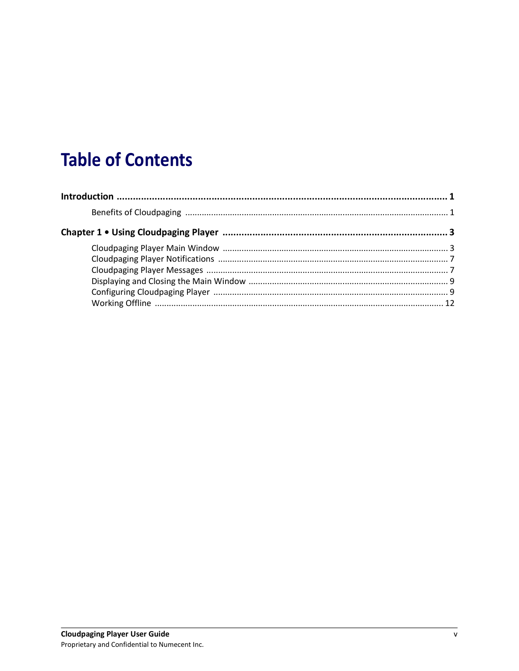## **Table of Contents**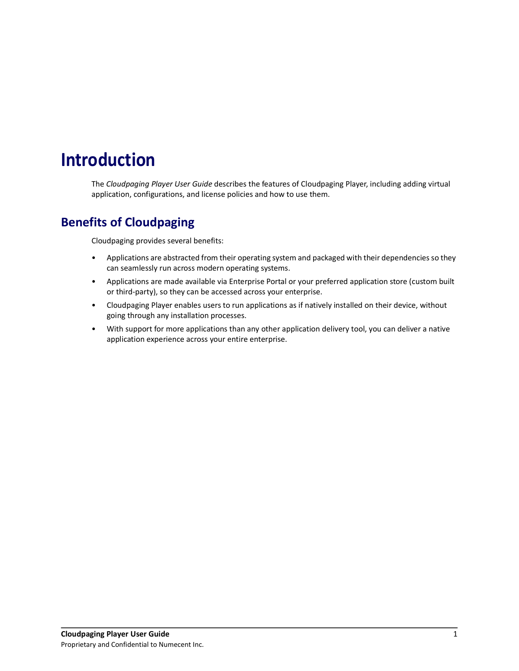## <span id="page-6-0"></span>**Introduction**

The *Cloudpaging Player User Guide* describes the features of Cloudpaging Player, including adding virtual application, configurations, and license policies and how to use them.

## <span id="page-6-1"></span>**Benefits of Cloudpaging**

Cloudpaging provides several benefits:

- Applications are abstracted from their operating system and packaged with their dependencies so they can seamlessly run across modern operating systems.
- Applications are made available via Enterprise Portal or your preferred application store (custom built or third-party), so they can be accessed across your enterprise.
- Cloudpaging Player enables users to run applications as if natively installed on their device, without going through any installation processes.
- With support for more applications than any other application delivery tool, you can deliver a native application experience across your entire enterprise.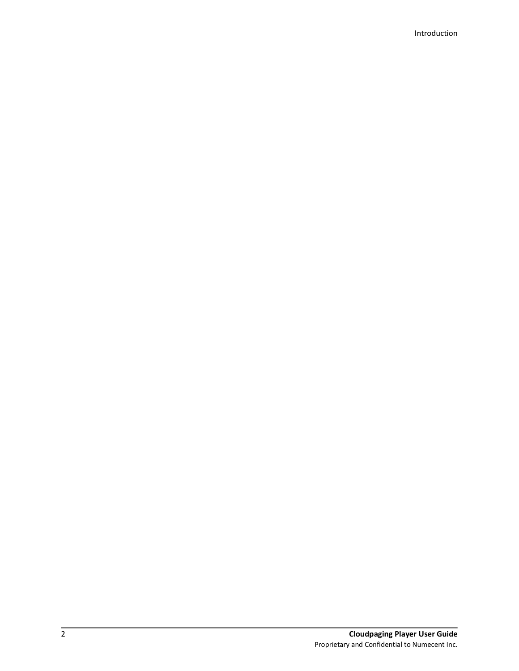Introduction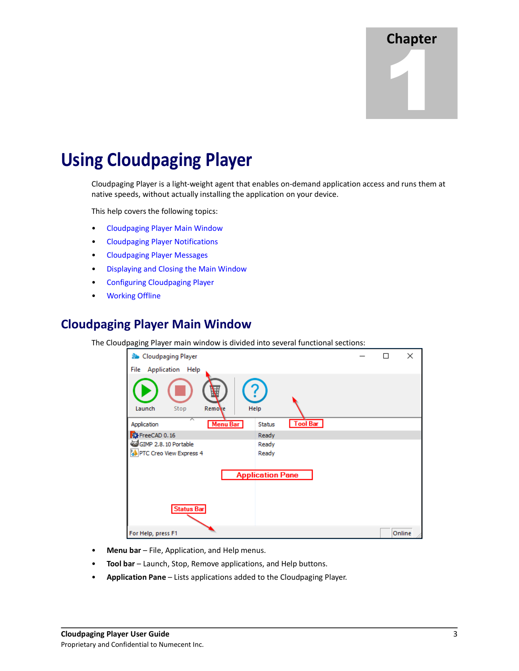

## <span id="page-8-0"></span>**Using Cloudpaging Player**

Cloudpaging Player is a light-weight agent that enables on-demand application access and runs them at native speeds, without actually installing the application on your device.

This help covers the following topics:

- [Cloudpaging Player Main Window](#page-8-1)
- [Cloudpaging Player Notifications](#page-12-0)
- [Cloudpaging Player Messages](#page-12-1)
- [Displaying and Closing the Main Window](#page-14-0)
- [Configuring Cloudpaging Player](#page-14-1)
- [Working Offline](#page-17-0)

## <span id="page-8-1"></span>**Cloudpaging Player Main Window**

The Cloudpaging Player main window is divided into several functional sections:

| <b>No</b> Cloudpaging Player        |                         |                 | П | ×      |
|-------------------------------------|-------------------------|-----------------|---|--------|
| Application Help<br>File            |                         |                 |   |        |
| Launch<br>Stop<br>Remove            | ?.<br>Help              |                 |   |        |
| ↗<br><b>Menu Bar</b><br>Application | <b>Status</b>           | <b>Tool Bar</b> |   |        |
| FreeCAD 0.16                        | Ready                   |                 |   |        |
| GIMP 2.8.10 Portable                | Ready                   |                 |   |        |
| <b>SA PTC Creo View Express 4</b>   | Ready                   |                 |   |        |
|                                     |                         |                 |   |        |
|                                     | <b>Application Pane</b> |                 |   |        |
|                                     |                         |                 |   |        |
|                                     |                         |                 |   |        |
| <b>Status Bar</b>                   |                         |                 |   |        |
| For Help, press F1                  |                         |                 |   | Online |

- **Menu bar** File, Application, and Help menus.
- **Tool bar** Launch, Stop, Remove applications, and Help buttons.
- **Application Pane** Lists applications added to the Cloudpaging Player.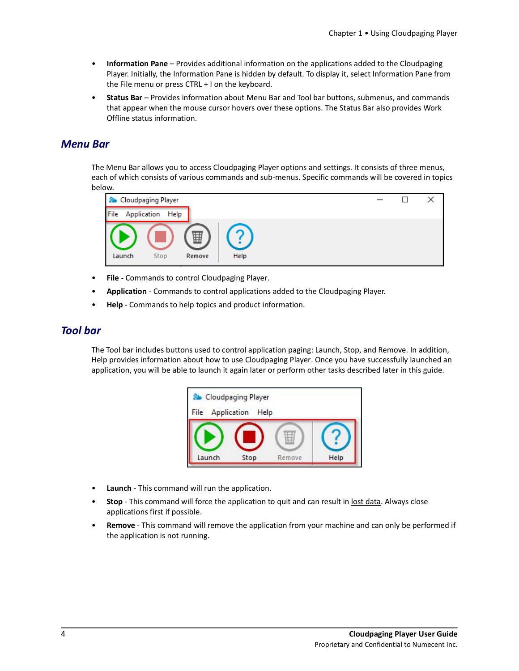- **Information Pane** Provides additional information on the applications added to the Cloudpaging Player. Initially, the Information Pane is hidden by default. To display it, select Information Pane from the File menu or press CTRL + I on the keyboard.
- **Status Bar** Provides information about Menu Bar and Tool bar buttons, submenus, and commands that appear when the mouse cursor hovers over these options. The Status Bar also provides Work Offline status information.

#### *Menu Bar*

The Menu Bar allows you to access Cloudpaging Player options and settings. It consists of three menus, each of which consists of various commands and sub-menus. Specific commands will be covered in topics below.

| <b>Cloudpaging Player</b>     |      |  | $\check{ }$ |
|-------------------------------|------|--|-------------|
| Application<br>File<br>Help   |      |  |             |
| ⋿<br>Stop<br>Remove<br>Launch | Help |  |             |

- **File** Commands to control Cloudpaging Player.
- **Application** Commands to control applications added to the Cloudpaging Player.
- **Help** Commands to help topics and product information.

#### *Tool bar*

The Tool bar includes buttons used to control application paging: Launch, Stop, and Remove. In addition, Help provides information about how to use Cloudpaging Player. Once you have successfully launched an application, you will be able to launch it again later or perform other tasks described later in this guide.



- **Launch** This command will run the application.
- **Stop** This command will force the application to quit and can result in lost data. Always close applications first if possible.
- **Remove** This command will remove the application from your machine and can only be performed if the application is not running.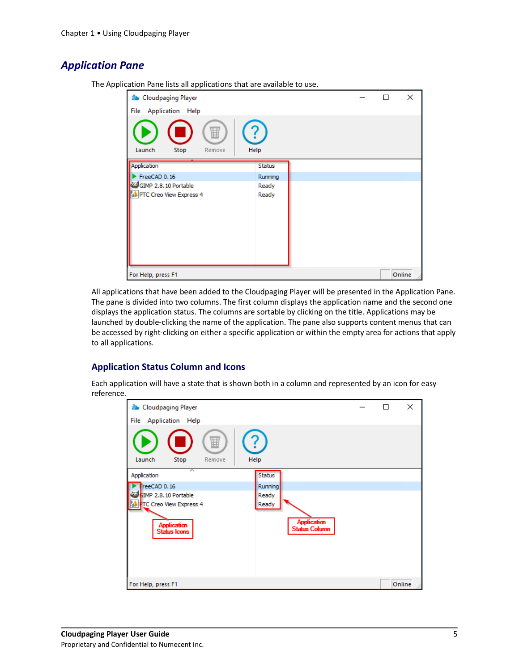### *Application Pane*

The Application Pane lists all applications that are available to use.

| <b>No</b> Cloudpaging Player  |               |  |  | □ | × |
|-------------------------------|---------------|--|--|---|---|
| File Application Help         |               |  |  |   |   |
| 丗<br>Launch<br>Stop<br>Remove | ?<br>Help     |  |  |   |   |
| Application                   | <b>Status</b> |  |  |   |   |
| FreeCAD 0.16                  | Running       |  |  |   |   |
| GIMP 2.8.10 Portable          | Ready         |  |  |   |   |
| PTC Creo View Express 4       | Ready         |  |  |   |   |
|                               |               |  |  |   |   |
|                               |               |  |  |   |   |
|                               |               |  |  |   |   |
|                               |               |  |  |   |   |
|                               |               |  |  |   |   |
|                               |               |  |  |   |   |
|                               |               |  |  |   |   |
| For Help, press F1<br>Online  |               |  |  |   |   |

All applications that have been added to the Cloudpaging Player will be presented in the Application Pane. The pane is divided into two columns. The first column displays the application name and the second one displays the application status. The columns are sortable by clicking on the title. Applications may be launched by double-clicking the name of the application. The pane also supports content menus that can be accessed by right-clicking on either a specific application or within the empty area for actions that apply to all applications.

#### **Application Status Column and Icons**

Each application will have a state that is shown both in a column and represented by an icon for easy reference.

| <b>No</b> Cloudpaging Player       |                                            |  | ×      |
|------------------------------------|--------------------------------------------|--|--------|
| File<br>Application Help           |                                            |  |        |
| 峀<br>Launch<br>Stop<br>Remove      | $\left($<br>Help                           |  |        |
| ㅈ<br>Application                   | <b>Status</b>                              |  |        |
| reeCAD 0.16                        | Running                                    |  |        |
| فتا<br><b>GIMP 2.8.10 Portable</b> | Ready                                      |  |        |
| TC Creo View Express 4             | Ready                                      |  |        |
| <b>Application</b><br>Status Icons | <b>Application</b><br><b>Status Column</b> |  |        |
|                                    |                                            |  |        |
| For Help, press F1                 |                                            |  | Online |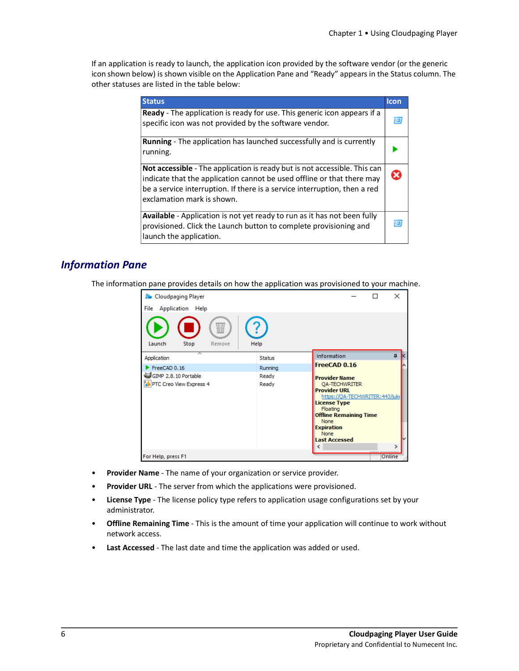If an application is ready to launch, the application icon provided by the software vendor (or the generic icon shown below) is shown visible on the Application Pane and "Ready" appears in the Status column. The other statuses are listed in the table below:

| <b>Status</b>                                                                                                                                                                                                                                                         | <b>Icon</b> |
|-----------------------------------------------------------------------------------------------------------------------------------------------------------------------------------------------------------------------------------------------------------------------|-------------|
| <b>Ready</b> - The application is ready for use. This generic icon appears if a<br>specific icon was not provided by the software vendor.                                                                                                                             | 10          |
| <b>Running</b> - The application has launched successfully and is currently<br>running.                                                                                                                                                                               |             |
| <b>Not accessible</b> - The application is ready but is not accessible. This can<br>indicate that the application cannot be used offline or that there may<br>be a service interruption. If there is a service interruption, then a red<br>exclamation mark is shown. |             |
| Available - Application is not yet ready to run as it has not been fully<br>provisioned. Click the Launch button to complete provisioning and<br>launch the application.                                                                                              |             |

## *Information Pane*

The information pane provides details on how the application was provisioned to your machine.



- **Provider Name** The name of your organization or service provider.
- **Provider URL** The server from which the applications were provisioned.
- **License Type** The license policy type refers to application usage configurations set by your administrator.
- **Offline Remaining Time** This is the amount of time your application will continue to work without network access.
- **Last Accessed** The last date and time the application was added or used.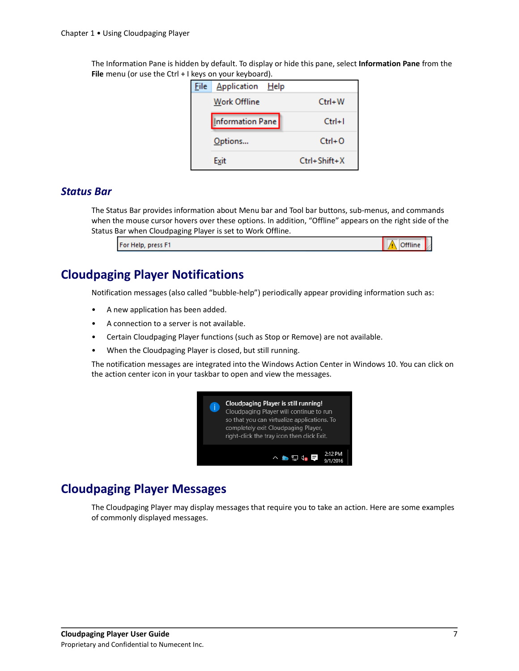The Information Pane is hidden by default. To display or hide this pane, select **Information Pane** from the File menu (or use the Ctrl + I keys on your keyboard).

| File                        | Application<br>Help |              |
|-----------------------------|---------------------|--------------|
|                             | Work Offline        | $Ctrl + W$   |
| Information Pane<br>Options |                     | $Ctrl + I$   |
|                             |                     | $Ctrl + O$   |
|                             | Exit                | Ctrl+Shift+X |

#### *Status Bar*

The Status Bar provides information about Menu bar and Tool bar buttons, sub-menus, and commands when the mouse cursor hovers over these options. In addition, "Offline" appears on the right side of the Status Bar when Cloudpaging Player is set to Work Offline.

For Help, press F1

| <b>Offline</b> |  |
|----------------|--|
|                |  |

## <span id="page-12-0"></span>**Cloudpaging Player Notifications**

Notification messages (also called "bubble-help") periodically appear providing information such as:

- A new application has been added.
- A connection to a server is not available.
- Certain Cloudpaging Player functions (such as Stop or Remove) are not available.
- When the Cloudpaging Player is closed, but still running.

The notification messages are integrated into the Windows Action Center in Windows 10. You can click on the action center icon in your taskbar to open and view the messages.



## <span id="page-12-1"></span>**Cloudpaging Player Messages**

The Cloudpaging Player may display messages that require you to take an action. Here are some examples of commonly displayed messages.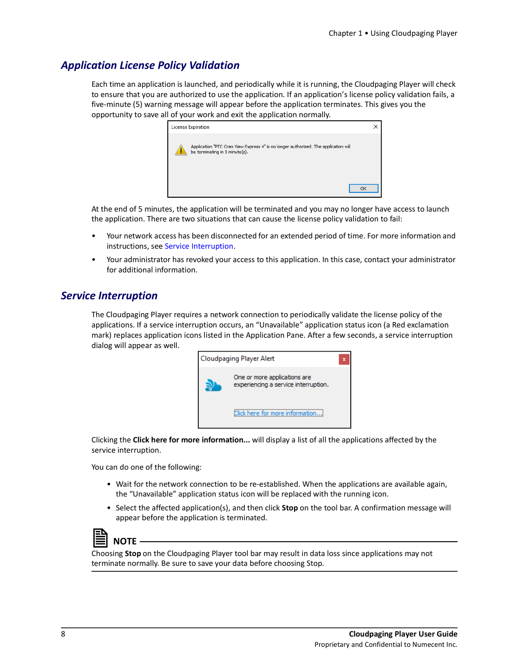## *Application License Policy Validation*

Each time an application is launched, and periodically while it is running, the Cloudpaging Player will check to ensure that you are authorized to use the application. If an application's license policy validation fails, a five-minute (5) warning message will appear before the application terminates. This gives you the opportunity to save all of your work and exit the application normally.

| <b>License Expiration</b> |                                                                                                                       |    |
|---------------------------|-----------------------------------------------------------------------------------------------------------------------|----|
|                           | Application "PTC Creo View Express 4" is no longer authorized. The application will<br>be terminating in 5 minute(s). |    |
|                           |                                                                                                                       | OK |

At the end of 5 minutes, the application will be terminated and you may no longer have access to launch the application. There are two situations that can cause the license policy validation to fail:

- Your network access has been disconnected for an extended period of time. For more information and instructions, see [Service Interruption.](#page-13-0)
- Your administrator has revoked your access to this application. In this case, contact your administrator for additional information.

#### <span id="page-13-0"></span>*Service Interruption*

The Cloudpaging Player requires a network connection to periodically validate the license policy of the applications. If a service interruption occurs, an "Unavailable" application status icon (a Red exclamation mark) replaces application icons listed in the Application Pane. After a few seconds, a service interruption dialog will appear as well.

| <b>Cloudpaging Player Alert</b> |                                                                      |  |
|---------------------------------|----------------------------------------------------------------------|--|
|                                 | One or more applications are<br>experiencing a service interruption. |  |
|                                 | Click here for more information                                      |  |

Clicking the **Click here for more information...** will display a list of all the applications affected by the service interruption.

You can do one of the following:

- Wait for the network connection to be re-established. When the applications are available again, the "Unavailable" application status icon will be replaced with the running icon.
- Select the affected application(s), and then click **Stop** on the tool bar. A confirmation message will appear before the application is terminated.

**NOTE** Choosing **Stop** on the Cloudpaging Player tool bar may result in data loss since applications may not terminate normally. Be sure to save your data before choosing Stop.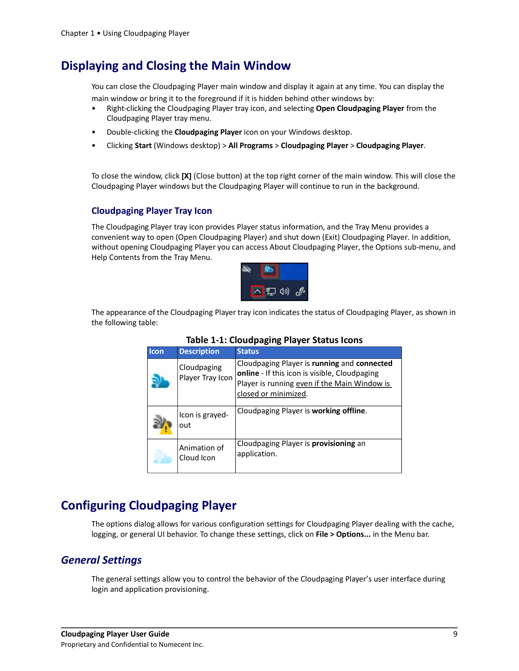## <span id="page-14-0"></span>**Displaying and Closing the Main Window**

You can close the Cloudpaging Player main window and display it again at any time. You can display the main window or bring it to the foreground if it is hidden behind other windows by:

- Right-clicking the Cloudpaging Player tray icon, and selecting **Open Cloudpaging Player** from the Cloudpaging Player tray menu.
- Double-clicking the **Cloudpaging Player** icon on your Windows desktop.
- Clicking **Start** (Windows desktop) > **All Programs** > **Cloudpaging Player** > **Cloudpaging Player**.

To close the window, click **[X]** (Close button) at the top right corner of the main window. This will close the Cloudpaging Player windows but the Cloudpaging Player will continue to run in the background.

#### **Cloudpaging Player Tray Icon**

The Cloudpaging Player tray icon provides Player status information, and the Tray Menu provides a convenient way to open (Open Cloudpaging Player) and shut down (Exit) Cloudpaging Player. In addition, without opening Cloudpaging Player you can access About Cloudpaging Player, the Options sub-menu, and Help Contents from the Tray Menu.



The appearance of the Cloudpaging Player tray icon indicates the status of Cloudpaging Player, as shown in the following table:

| <b>Icon</b> | <b>Description</b>              | <b>Status</b>                                                                                                                                                        |
|-------------|---------------------------------|----------------------------------------------------------------------------------------------------------------------------------------------------------------------|
|             | Cloudpaging<br>Player Tray Icon | Cloudpaging Player is running and connected<br>online - If this icon is visible, Cloudpaging<br>Player is running even if the Main Window is<br>closed or minimized. |
|             | Icon is grayed-<br>out          | Cloudpaging Player is working offline.                                                                                                                               |
|             | Animation of<br>Cloud Icon      | Cloudpaging Player is provisioning an<br>application.                                                                                                                |

#### **Table 1-1: Cloudpaging Player Status Icons**

## <span id="page-14-1"></span>**Configuring Cloudpaging Player**

The options dialog allows for various configuration settings for Cloudpaging Player dealing with the cache, logging, or general UI behavior. To change these settings, click on **File > Options...** in the Menu bar.

#### *General Settings*

The general settings allow you to control the behavior of the Cloudpaging Player's user interface during login and application provisioning.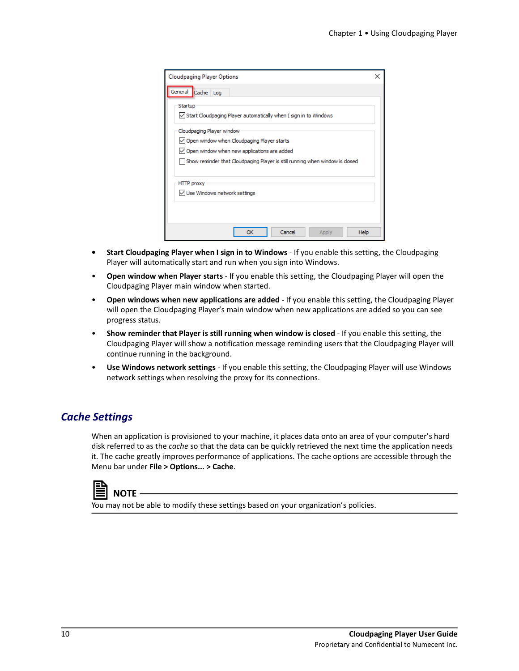| <b>Cloudpaging Player Options</b>                                            | ×    |
|------------------------------------------------------------------------------|------|
| General Cache Log                                                            |      |
| Startup<br>Start Cloudpaging Player automatically when I sign in to Windows  |      |
| Cloudpaging Player window                                                    |      |
| Open window when Cloudpaging Player starts                                   |      |
| Open window when new applications are added                                  |      |
| Show reminder that Cloudpaging Player is still running when window is closed |      |
| <b>HTTP</b> proxy                                                            |      |
| Use Windows network settings                                                 |      |
|                                                                              |      |
| Cancel<br>OK<br>Apply                                                        | Help |

- **Start Cloudpaging Player when I sign in to Windows** If you enable this setting, the Cloudpaging Player will automatically start and run when you sign into Windows.
- **Open window when Player starts** If you enable this setting, the Cloudpaging Player will open the Cloudpaging Player main window when started.
- **Open windows when new applications are added** If you enable this setting, the Cloudpaging Player will open the Cloudpaging Player's main window when new applications are added so you can see progress status.
- **Show reminder that Player is still running when window is closed** If you enable this setting, the Cloudpaging Player will show a notification message reminding users that the Cloudpaging Player will continue running in the background.
- **Use Windows network settings** If you enable this setting, the Cloudpaging Player will use Windows network settings when resolving the proxy for its connections.

#### *Cache Settings*

When an application is provisioned to your machine, it places data onto an area of your computer's hard disk referred to as the *cache* so that the data can be quickly retrieved the next time the application needs it. The cache greatly improves performance of applications. The cache options are accessible through the Menu bar under **File > Options... > Cache**.



You may not be able to modify these settings based on your organization's policies.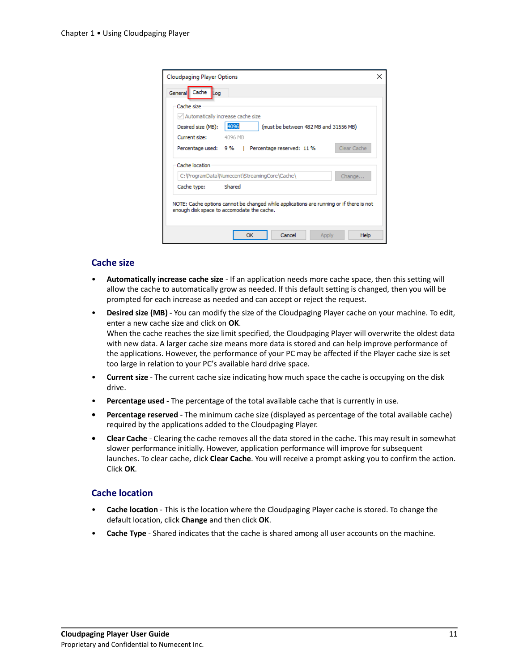| <b>Cloudpaging Player Options</b>          |                                                                                                                          | × |
|--------------------------------------------|--------------------------------------------------------------------------------------------------------------------------|---|
| Cache<br>General<br>Log                    |                                                                                                                          |   |
| Cache size                                 |                                                                                                                          |   |
| $\vee$ Automatically increase cache size   |                                                                                                                          |   |
| Desired size (MB):                         | 4096<br>(must be between 482 MB and 31556 MB)                                                                            |   |
| Current size:                              | 4096 MB                                                                                                                  |   |
|                                            | Clear Cache<br>Percentage used: 9 %   Percentage reserved: 11 %                                                          |   |
| Cache location                             | C: \ProgramData\Numecent\StreamingCore\Cache\<br>Change                                                                  |   |
| Cache type:                                | Shared                                                                                                                   |   |
| enough disk space to accomodate the cache. | NOTE: Cache options cannot be changed while applications are running or if there is not<br>Cancel<br>ОК<br>Help<br>Apply |   |

#### **Cache size**

- **Automatically increase cache size** If an application needs more cache space, then this setting will allow the cache to automatically grow as needed. If this default setting is changed, then you will be prompted for each increase as needed and can accept or reject the request.
- **Desired size (MB)** You can modify the size of the Cloudpaging Player cache on your machine. To edit, enter a new cache size and click on **OK**. When the cache reaches the size limit specified, the Cloudpaging Player will overwrite the oldest data

with new data. A larger cache size means more data is stored and can help improve performance of the applications. However, the performance of your PC may be affected if the Player cache size is set too large in relation to your PC's available hard drive space.

- **Current size** The current cache size indicating how much space the cache is occupying on the disk drive.
- **Percentage used** The percentage of the total available cache that is currently in use.
- **Percentage reserved** The minimum cache size (displayed as percentage of the total available cache) required by the applications added to the Cloudpaging Player.
- **Clear Cache** Clearing the cache removes all the data stored in the cache. This may result in somewhat slower performance initially. However, application performance will improve for subsequent launches. To clear cache, click **Clear Cache**. You will receive a prompt asking you to confirm the action. Click **OK**.

#### **Cache location**

- **Cache location** This is the location where the Cloudpaging Player cache is stored. To change the default location, click **Change** and then click **OK**.
- **Cache Type** Shared indicates that the cache is shared among all user accounts on the machine.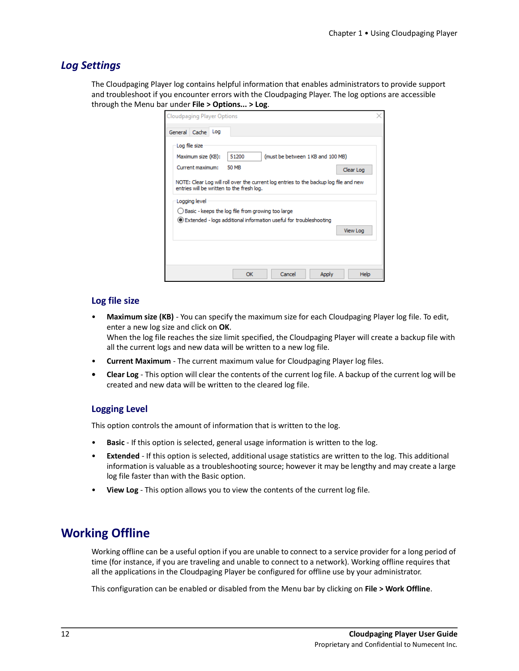#### *Log Settings*

The Cloudpaging Player log contains helpful information that enables administrators to provide support and troubleshoot if you encounter errors with the Cloudpaging Player. The log options are accessible through the Menu bar under **File > Options... > Log**.

| Log<br>General Cache                      |                                                                                       |
|-------------------------------------------|---------------------------------------------------------------------------------------|
| Log file size                             |                                                                                       |
| Maximum size (KB):                        | (must be between 1 KB and 100 MB)<br>51200                                            |
| Current maximum:                          | 50 MB<br>Clear Log                                                                    |
| entries will be written to the fresh log. | NOTE: Clear Log will roll over the current log entries to the backup log file and new |
|                                           |                                                                                       |
| Logging level                             |                                                                                       |
|                                           | Basic - keeps the log file from growing too large                                     |
|                                           | Extended - logs additional information useful for troubleshooting                     |
|                                           | <b>View Log</b>                                                                       |
|                                           |                                                                                       |
|                                           |                                                                                       |

#### **Log file size**

• **Maximum size (KB)** - You can specify the maximum size for each Cloudpaging Player log file. To edit, enter a new log size and click on **OK**.

When the log file reaches the size limit specified, the Cloudpaging Player will create a backup file with all the current logs and new data will be written to a new log file.

- **Current Maximum** The current maximum value for Cloudpaging Player log files.
- **Clear Log** This option will clear the contents of the current log file. A backup of the current log will be created and new data will be written to the cleared log file.

#### **Logging Level**

This option controls the amount of information that is written to the log.

- **Basic** If this option is selected, general usage information is written to the log.
- **Extended** If this option is selected, additional usage statistics are written to the log. This additional information is valuable as a troubleshooting source; however it may be lengthy and may create a large log file faster than with the Basic option.
- **View Log** This option allows you to view the contents of the current log file.

## <span id="page-17-0"></span>**Working Offline**

Working offline can be a useful option if you are unable to connect to a service provider for a long period of time (for instance, if you are traveling and unable to connect to a network). Working offline requires that all the applications in the Cloudpaging Player be configured for offline use by your administrator.

This configuration can be enabled or disabled from the Menu bar by clicking on **File > Work Offline**.